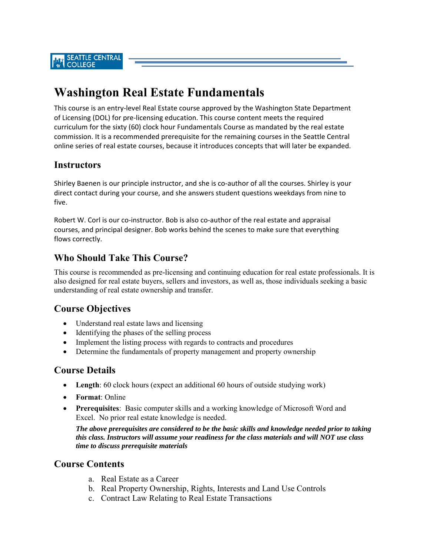# **Washington Real Estate Fundamentals**

This course is an entry‐level Real Estate course approved by the Washington State Department of Licensing (DOL) for pre‐licensing education. This course content meets the required curriculum for the sixty (60) clock hour Fundamentals Course as mandated by the real estate commission. It is a recommended prerequisite for the remaining courses in the Seattle Central online series of real estate courses, because it introduces concepts that will later be expanded.

## **Instructors**

Shirley Baenen is our principle instructor, and she is co-author of all the courses. Shirley is your direct contact during your course, and she answers student questions weekdays from nine to five.

Robert W. Corl is our co-instructor. Bob is also co-author of the real estate and appraisal courses, and principal designer. Bob works behind the scenes to make sure that everything flows correctly.

# **Who Should Take This Course?**

This course is recommended as pre-licensing and continuing education for real estate professionals. It is also designed for real estate buyers, sellers and investors, as well as, those individuals seeking a basic understanding of real estate ownership and transfer.

### **Course Objectives**

- Understand real estate laws and licensing
- Identifying the phases of the selling process
- Implement the listing process with regards to contracts and procedures
- Determine the fundamentals of property management and property ownership

#### **Course Details**

- **Length**: 60 clock hours (expect an additional 60 hours of outside studying work)
- **Format**: Online
- **Prerequisites**: Basic computer skills and a working knowledge of Microsoft Word and Excel. No prior real estate knowledge is needed.

*The above prerequisites are considered to be the basic skills and knowledge needed prior to taking this class. Instructors will assume your readiness for the class materials and will NOT use class time to discuss prerequisite materials* 

#### **Course Contents**

- a. Real Estate as a Career
- b. Real Property Ownership, Rights, Interests and Land Use Controls
- c. Contract Law Relating to Real Estate Transactions